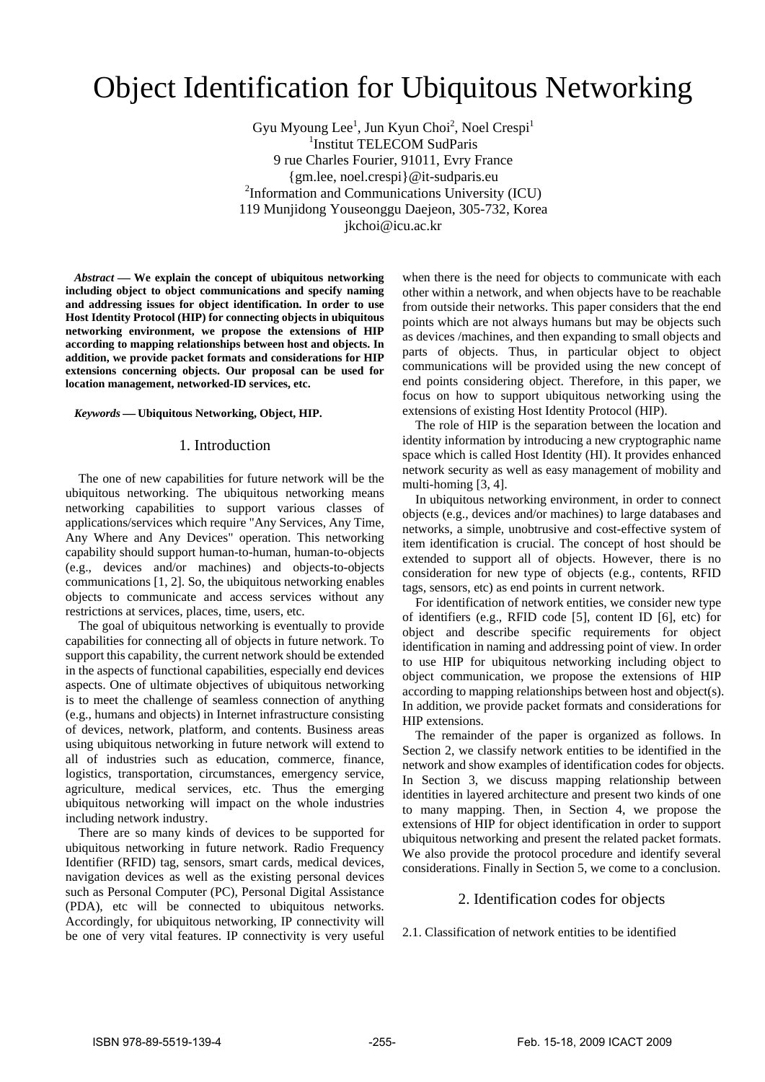# Object Identification for Ubiquitous Networking

Gyu Myoung Lee<sup>1</sup>, Jun Kyun Choi<sup>2</sup>, Noel Crespi<sup>1</sup> 1 Institut TELECOM SudParis 9 rue Charles Fourier, 91011, Evry France {gm.lee, noel.crespi}@it-sudparis.eu 2 Information and Communications University (ICU) 119 Munjidong Youseonggu Daejeon, 305-732, Korea jkchoi@icu.ac.kr

*Abstract* — We explain the concept of ubiquitous networking **including object to object communications and specify naming and addressing issues for object identification. In order to use Host Identity Protocol (HIP) for connecting objects in ubiquitous networking environment, we propose the extensions of HIP according to mapping relationships between host and objects. In addition, we provide packet formats and considerations for HIP extensions concerning objects. Our proposal can be used for location management, networked-ID services, etc.**

#### *Keywords* ⎯ **Ubiquitous Networking, Object, HIP.**

### 1. Introduction

The one of new capabilities for future network will be the ubiquitous networking. The ubiquitous networking means networking capabilities to support various classes of applications/services which require "Any Services, Any Time, Any Where and Any Devices" operation. This networking capability should support human-to-human, human-to-objects (e.g., devices and/or machines) and objects-to-objects communications [1, 2]. So, the ubiquitous networking enables objects to communicate and access services without any restrictions at services, places, time, users, etc.

The goal of ubiquitous networking is eventually to provide capabilities for connecting all of objects in future network. To support this capability, the current network should be extended in the aspects of functional capabilities, especially end devices aspects. One of ultimate objectives of ubiquitous networking is to meet the challenge of seamless connection of anything (e.g., humans and objects) in Internet infrastructure consisting of devices, network, platform, and contents. Business areas using ubiquitous networking in future network will extend to all of industries such as education, commerce, finance, logistics, transportation, circumstances, emergency service, agriculture, medical services, etc. Thus the emerging ubiquitous networking will impact on the whole industries including network industry.

There are so many kinds of devices to be supported for ubiquitous networking in future network. Radio Frequency Identifier (RFID) tag, sensors, smart cards, medical devices, navigation devices as well as the existing personal devices such as Personal Computer (PC), Personal Digital Assistance (PDA), etc will be connected to ubiquitous networks. Accordingly, for ubiquitous networking, IP connectivity will be one of very vital features. IP connectivity is very useful

when there is the need for objects to communicate with each other within a network, and when objects have to be reachable from outside their networks. This paper considers that the end points which are not always humans but may be objects such as devices /machines, and then expanding to small objects and parts of objects. Thus, in particular object to object communications will be provided using the new concept of end points considering object. Therefore, in this paper, we focus on how to support ubiquitous networking using the extensions of existing Host Identity Protocol (HIP).

The role of HIP is the separation between the location and identity information by introducing a new cryptographic name space which is called Host Identity (HI). It provides enhanced network security as well as easy management of mobility and multi-homing [3, 4].

In ubiquitous networking environment, in order to connect objects (e.g., devices and/or machines) to large databases and networks, a simple, unobtrusive and cost-effective system of item identification is crucial. The concept of host should be extended to support all of objects. However, there is no consideration for new type of objects (e.g., contents, RFID tags, sensors, etc) as end points in current network.

For identification of network entities, we consider new type of identifiers (e.g., RFID code [5], content ID [6], etc) for object and describe specific requirements for object identification in naming and addressing point of view. In order to use HIP for ubiquitous networking including object to object communication, we propose the extensions of HIP according to mapping relationships between host and object(s). In addition, we provide packet formats and considerations for HIP extensions.

The remainder of the paper is organized as follows. In Section 2, we classify network entities to be identified in the network and show examples of identification codes for objects. In Section 3, we discuss mapping relationship between identities in layered architecture and present two kinds of one to many mapping. Then, in Section 4, we propose the extensions of HIP for object identification in order to support ubiquitous networking and present the related packet formats. We also provide the protocol procedure and identify several considerations. Finally in Section 5, we come to a conclusion.

## 2. Identification codes for objects

2.1. Classification of network entities to be identified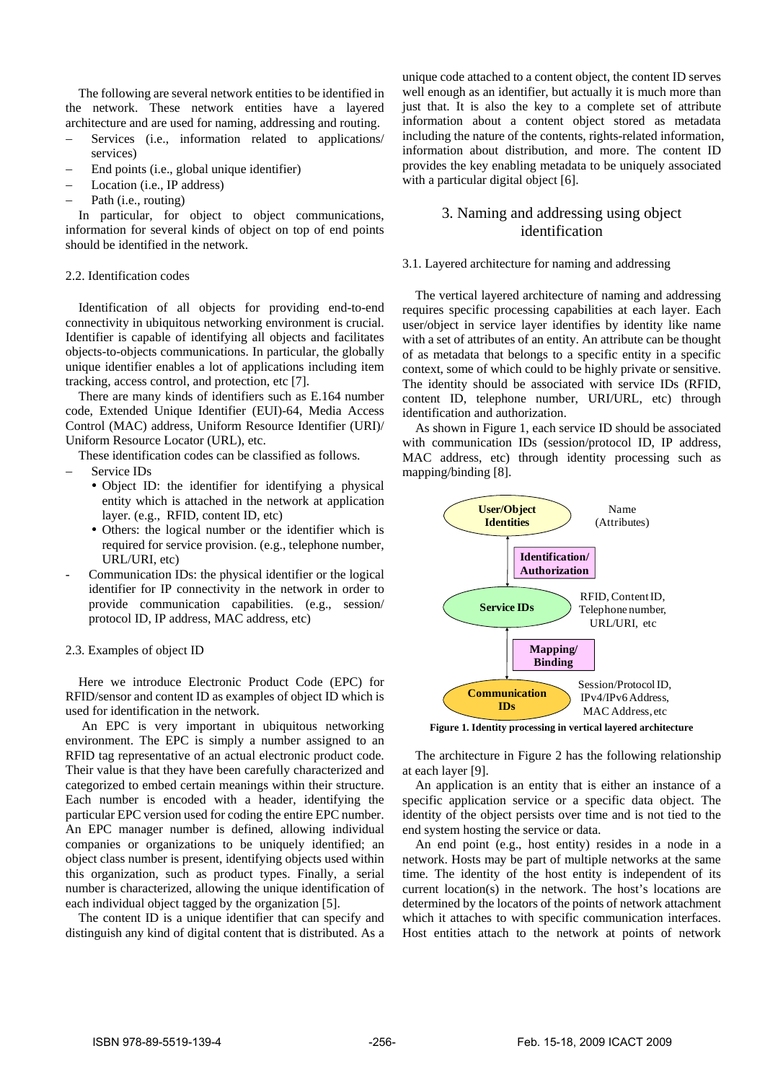The following are several network entities to be identified in the network. These network entities have a layered architecture and are used for naming, addressing and routing.

- Services (i.e., information related to applications/ services)
- End points (i.e., global unique identifier)
- Location (i.e., IP address)
- Path (i.e., routing)

In particular, for object to object communications, information for several kinds of object on top of end points should be identified in the network.

## 2.2. Identification codes

Identification of all objects for providing end-to-end connectivity in ubiquitous networking environment is crucial. Identifier is capable of identifying all objects and facilitates objects-to-objects communications. In particular, the globally unique identifier enables a lot of applications including item tracking, access control, and protection, etc [7].

There are many kinds of identifiers such as E.164 number code, Extended Unique Identifier (EUI)-64, Media Access Control (MAC) address, Uniform Resource Identifier (URI)/ Uniform Resource Locator (URL), etc.

These identification codes can be classified as follows.

- Service IDs
	- Object ID: the identifier for identifying a physical entity which is attached in the network at application layer. (e.g., RFID, content ID, etc)
	- Others: the logical number or the identifier which is required for service provision. (e.g., telephone number, URL/URI, etc)
- Communication IDs: the physical identifier or the logical identifier for IP connectivity in the network in order to provide communication capabilities. (e.g., session/ protocol ID, IP address, MAC address, etc)

## 2.3. Examples of object ID

Here we introduce Electronic Product Code (EPC) for RFID/sensor and content ID as examples of object ID which is used for identification in the network.

 An EPC is very important in ubiquitous networking environment. The EPC is simply a number assigned to an RFID tag representative of an actual electronic product code. Their value is that they have been carefully characterized and categorized to embed certain meanings within their structure. Each number is encoded with a header, identifying the particular EPC version used for coding the entire EPC number. An EPC manager number is defined, allowing individual companies or organizations to be uniquely identified; an object class number is present, identifying objects used within this organization, such as product types. Finally, a serial number is characterized, allowing the unique identification of each individual object tagged by the organization [5].

The content ID is a unique identifier that can specify and distinguish any kind of digital content that is distributed. As a unique code attached to a content object, the content ID serves well enough as an identifier, but actually it is much more than just that. It is also the key to a complete set of attribute information about a content object stored as metadata including the nature of the contents, rights-related information, information about distribution, and more. The content ID provides the key enabling metadata to be uniquely associated with a particular digital object [6].

# 3. Naming and addressing using object identification

# 3.1. Layered architecture for naming and addressing

The vertical layered architecture of naming and addressing requires specific processing capabilities at each layer. Each user/object in service layer identifies by identity like name with a set of attributes of an entity. An attribute can be thought of as metadata that belongs to a specific entity in a specific context, some of which could to be highly private or sensitive. The identity should be associated with service IDs (RFID, content ID, telephone number, URI/URL, etc) through identification and authorization.

As shown in Figure 1, each service ID should be associated with communication IDs (session/protocol ID, IP address, MAC address, etc) through identity processing such as mapping/binding [8].



The architecture in Figure 2 has the following relationship

at each layer [9]. An application is an entity that is either an instance of a specific application service or a specific data object. The identity of the object persists over time and is not tied to the end system hosting the service or data.

An end point (e.g., host entity) resides in a node in a network. Hosts may be part of multiple networks at the same time. The identity of the host entity is independent of its current location(s) in the network. The host's locations are determined by the locators of the points of network attachment which it attaches to with specific communication interfaces. Host entities attach to the network at points of network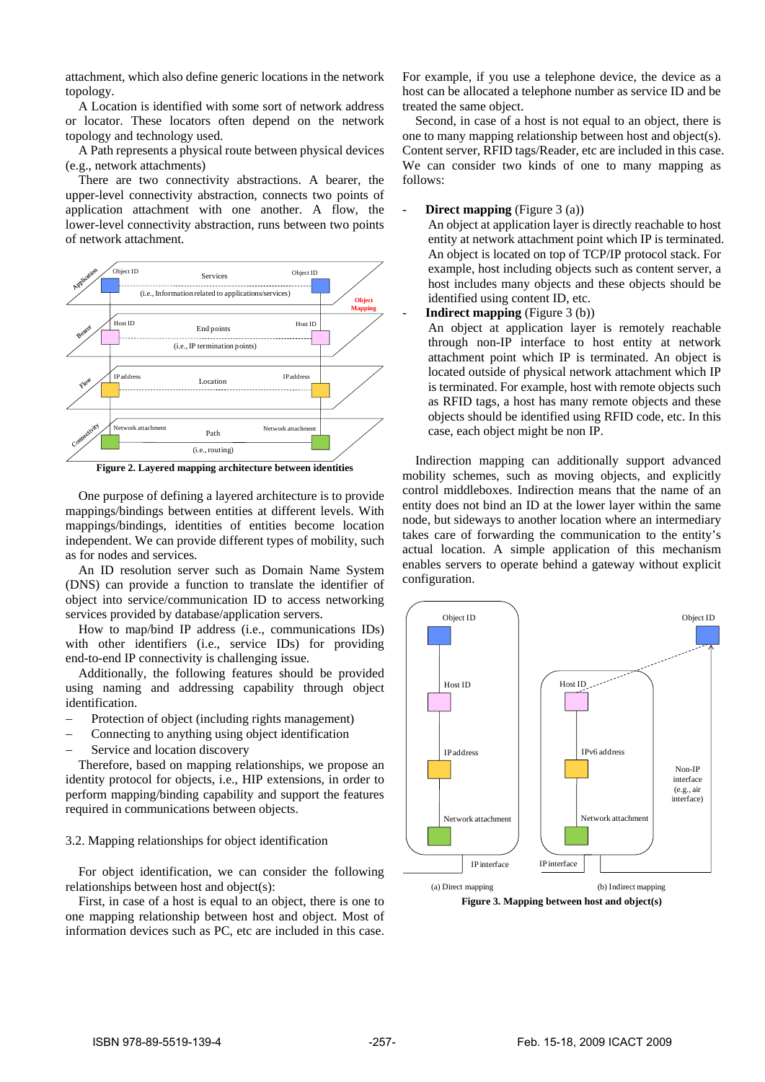attachment, which also define generic locations in the network topology.

A Location is identified with some sort of network address or locator. These locators often depend on the network topology and technology used.

A Path represents a physical route between physical devices (e.g., network attachments)

There are two connectivity abstractions. A bearer, the upper-level connectivity abstraction, connects two points of application attachment with one another. A flow, the lower-level connectivity abstraction, runs between two points of network attachment.



**Figure 2. Layered mapping architecture between identities** 

One purpose of defining a layered architecture is to provide mappings/bindings between entities at different levels. With mappings/bindings, identities of entities become location independent. We can provide different types of mobility, such as for nodes and services.

An ID resolution server such as Domain Name System (DNS) can provide a function to translate the identifier of object into service/communication ID to access networking services provided by database/application servers.

How to map/bind IP address (i.e., communications IDs) with other identifiers (i.e., service IDs) for providing end-to-end IP connectivity is challenging issue.

Additionally, the following features should be provided using naming and addressing capability through object identification.

- Protection of object (including rights management)
- Connecting to anything using object identification
- Service and location discovery

Therefore, based on mapping relationships, we propose an identity protocol for objects, i.e., HIP extensions, in order to perform mapping/binding capability and support the features required in communications between objects.

## 3.2. Mapping relationships for object identification

For object identification, we can consider the following relationships between host and object(s):

First, in case of a host is equal to an object, there is one to one mapping relationship between host and object. Most of information devices such as PC, etc are included in this case.

For example, if you use a telephone device, the device as a host can be allocated a telephone number as service ID and be treated the same object.

Second, in case of a host is not equal to an object, there is one to many mapping relationship between host and object(s). Content server, RFID tags/Reader, etc are included in this case. We can consider two kinds of one to many mapping as follows:

**Direct mapping** (Figure 3 (a))

An object at application layer is directly reachable to host entity at network attachment point which IP is terminated. An object is located on top of TCP/IP protocol stack. For example, host including objects such as content server, a host includes many objects and these objects should be identified using content ID, etc.

#### - **Indirect mapping** (Figure 3 (b))

An object at application layer is remotely reachable through non-IP interface to host entity at network attachment point which IP is terminated. An object is located outside of physical network attachment which IP is terminated. For example, host with remote objects such as RFID tags, a host has many remote objects and these objects should be identified using RFID code, etc. In this case, each object might be non IP.

Indirection mapping can additionally support advanced mobility schemes, such as moving objects, and explicitly control middleboxes. Indirection means that the name of an entity does not bind an ID at the lower layer within the same node, but sideways to another location where an intermediary takes care of forwarding the communication to the entity's actual location. A simple application of this mechanism enables servers to operate behind a gateway without explicit configuration.



**Figure 3. Mapping between host and object(s)**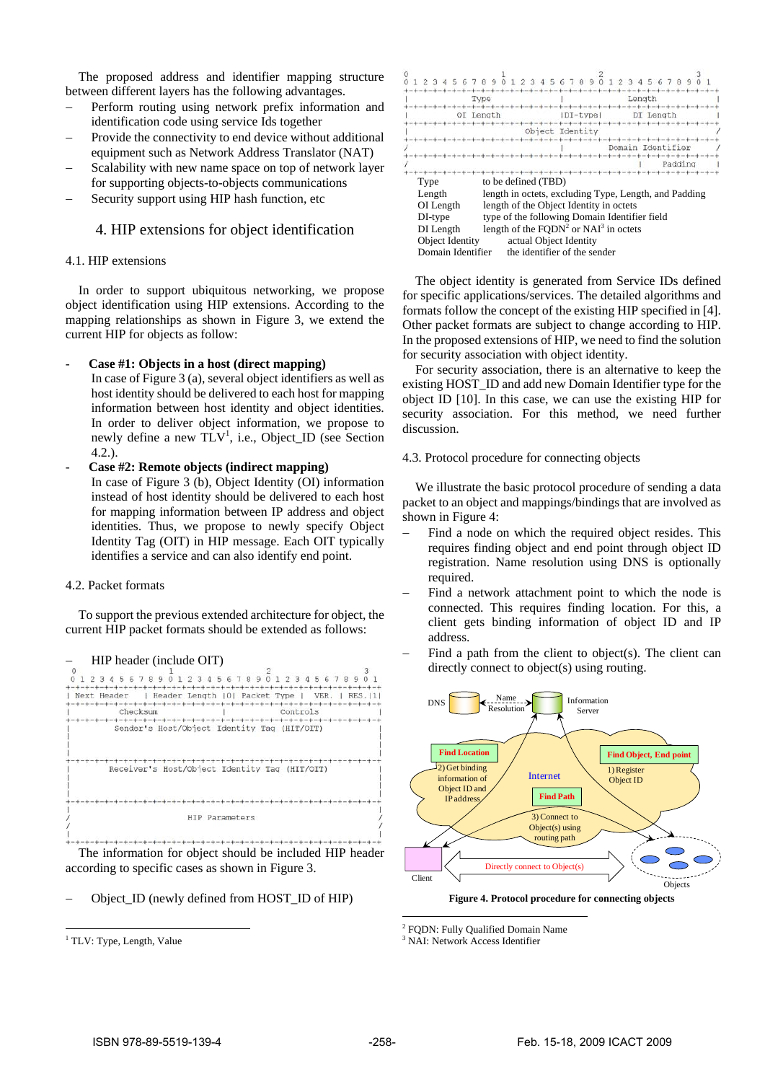The proposed address and identifier mapping structure between different layers has the following advantages.

- Perform routing using network prefix information and identification code using service Ids together
- Provide the connectivity to end device without additional equipment such as Network Address Translator (NAT)
- Scalability with new name space on top of network layer for supporting objects-to-objects communications
- Security support using HIP hash function, etc

# 4. HIP extensions for object identification

# 4.1. HIP extensions

In order to support ubiquitous networking, we propose object identification using HIP extensions. According to the mapping relationships as shown in Figure 3, we extend the current HIP for objects as follow:

## - **Case #1: Objects in a host (direct mapping)**

In case of Figure 3 (a), several object identifiers as well as host identity should be delivered to each host for mapping information between host identity and object identities. In order to deliver object information, we propose to newly define a new  $TLV^1$ , i.e., Object\_ID (see Section 4.2.).

# - **Case #2: Remote objects (indirect mapping)**  In case of Figure 3 (b), Object Identity (OI) information instead of host identity should be delivered to each host for mapping information between IP address and object identities. Thus, we propose to newly specify Object Identity Tag (OIT) in HIP message. Each OIT typically identifies a service and can also identify end point.

# 4.2. Packet formats

To support the previous extended architecture for object, the current HIP packet formats should be extended as follows:



The information for object should be included HIP header according to specific cases as shown in Figure 3.

Object ID (newly defined from HOST ID of HIP)

j.

|                                                                                             | G                                                                                                                                                                                                                       |                                                        |                            |         |
|---------------------------------------------------------------------------------------------|-------------------------------------------------------------------------------------------------------------------------------------------------------------------------------------------------------------------------|--------------------------------------------------------|----------------------------|---------|
| Type                                                                                        |                                                                                                                                                                                                                         |                                                        | Length                     |         |
|                                                                                             | OI Length                                                                                                                                                                                                               | $DI$ -type<br>$+ - + - + - +$                          | DI Length<br>-+-+-+-+-+-+- |         |
| Object Identity                                                                             |                                                                                                                                                                                                                         |                                                        |                            |         |
|                                                                                             |                                                                                                                                                                                                                         | to the contribution of the con-<br>---------------     | Domain Identifier          | Padding |
| Type<br>Length<br>OI Length<br>DI-type<br>DI Length<br>Object Identity<br>Domain Identifier | to be defined (TBD)<br>length in octets, excluding Type, Length, and Padding<br>length of the Object Identity in octets<br>type of the following Domain Identifier field<br>length of the $FQDN^2$ or $NAI^3$ in octets | actual Object Identity<br>the identifier of the sender |                            |         |

The object identity is generated from Service IDs defined for specific applications/services. The detailed algorithms and formats follow the concept of the existing HIP specified in [4]. Other packet formats are subject to change according to HIP. In the proposed extensions of HIP, we need to find the solution for security association with object identity.

For security association, there is an alternative to keep the existing HOST\_ID and add new Domain Identifier type for the object ID [10]. In this case, we can use the existing HIP for security association. For this method, we need further discussion.

# 4.3. Protocol procedure for connecting objects

We illustrate the basic protocol procedure of sending a data packet to an object and mappings/bindings that are involved as shown in Figure 4:

- Find a node on which the required object resides. This requires finding object and end point through object ID registration. Name resolution using DNS is optionally required.
- Find a network attachment point to which the node is connected. This requires finding location. For this, a client gets binding information of object ID and IP address.
- Find a path from the client to object(s). The client can directly connect to object(s) using routing.



**Figure 4. Protocol procedure for connecting objects** 

-<sup>2</sup> FQDN: Fully Qualified Domain Name

3 NAI: Network Access Identifier

<sup>&</sup>lt;sup>1</sup> TLV: Type, Length, Value